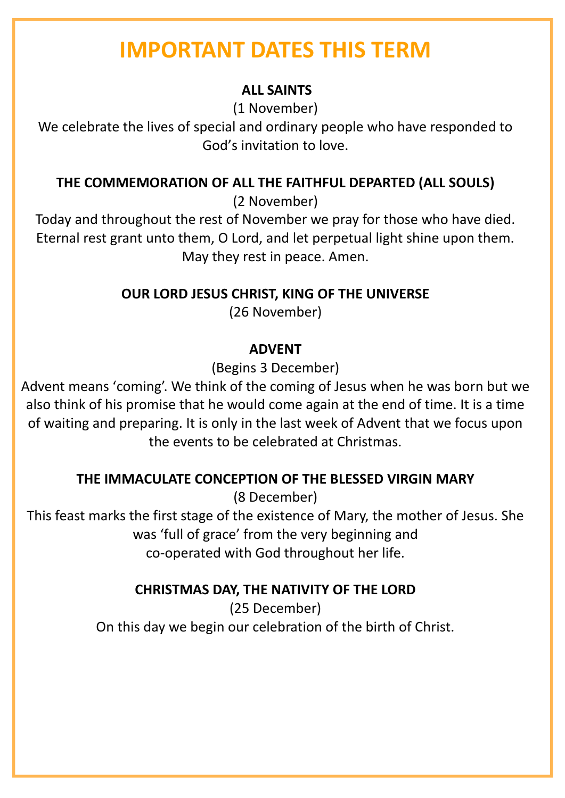# **IMPORTANT DATES THIS TERM**

# **ALL SAINTS**

(1 November)

We celebrate the lives of special and ordinary people who have responded to God's invitation to love.

## **THE COMMEMORATION OF ALL THE FAITHFUL DEPARTED (ALL SOULS)**

(2 November)

Today and throughout the rest of November we pray for those who have died. Eternal rest grant unto them, O Lord, and let perpetual light shine upon them. May they rest in peace. Amen.

**OUR LORD JESUS CHRIST, KING OF THE UNIVERSE**

(26 November)

# **ADVENT**

(Begins 3 December)

Advent means 'coming'. We think of the coming of Jesus when he was born but we also think of his promise that he would come again at the end of time. It is a time of waiting and preparing. It is only in the last week of Advent that we focus upon the events to be celebrated at Christmas.

# **THE IMMACULATE CONCEPTION OF THE BLESSED VIRGIN MARY**

(8 December)

This feast marks the first stage of the existence of Mary, the mother of Jesus. She was 'full of grace' from the very beginning and co-operated with God throughout her life.

# **CHRISTMAS DAY, THE NATIVITY OF THE LORD**

(25 December) On this day we begin our celebration of the birth of Christ.